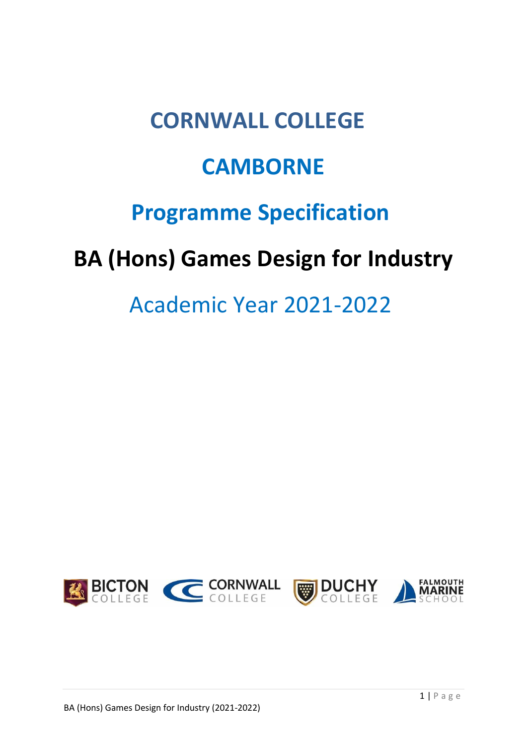# **CORNWALL COLLEGE**

# **CAMBORNE**

# **Programme Specification**

# **BA (Hons) Games Design for Industry**

# Academic Year 2021-2022

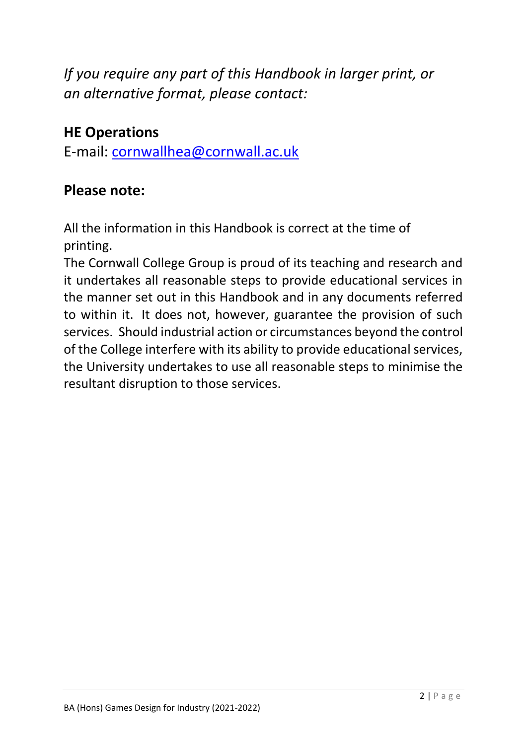*If you require any part of this Handbook in larger print, or an alternative format, please contact:*

# **HE Operations**

E-mail: [cornwallhea@cornwall.ac.uk](mailto:cornwallhea@cornwall.ac.uk)

# **Please note:**

All the information in this Handbook is correct at the time of printing.

The Cornwall College Group is proud of its teaching and research and it undertakes all reasonable steps to provide educational services in the manner set out in this Handbook and in any documents referred to within it. It does not, however, guarantee the provision of such services. Should industrial action or circumstances beyond the control of the College interfere with its ability to provide educational services, the University undertakes to use all reasonable steps to minimise the resultant disruption to those services.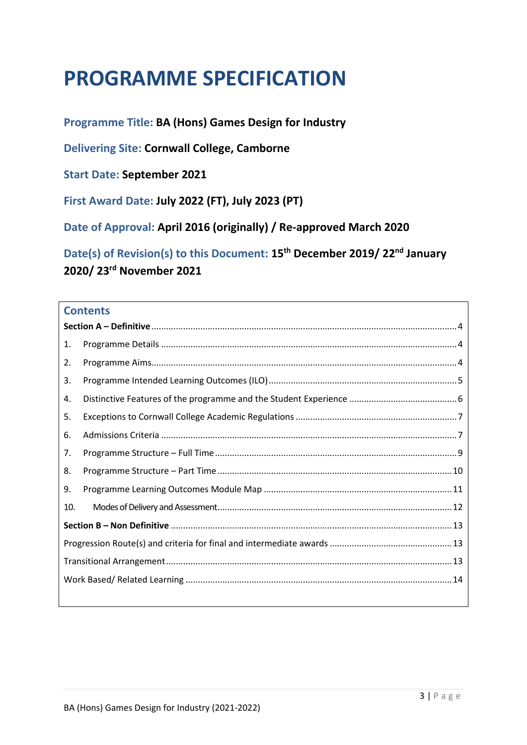# **PROGRAMME SPECIFICATION**

**Programme Title: BA (Hons) Games Design for Industry**

**Delivering Site: Cornwall College, Camborne**

**Start Date: September 2021**

**First Award Date: July 2022 (FT), July 2023 (PT)**

**Date of Approval: April 2016 (originally) / Re-approved March 2020**

**Date(s) of Revision(s) to this Document: 15th December 2019/ 22nd January 2020/ 23rd November 2021**

### **Contents**

| 1.  |  |
|-----|--|
| 2.  |  |
| 3.  |  |
| 4.  |  |
| 5.  |  |
| 6.  |  |
| 7.  |  |
| 8.  |  |
| 9.  |  |
| 10. |  |
|     |  |
|     |  |
|     |  |
|     |  |
|     |  |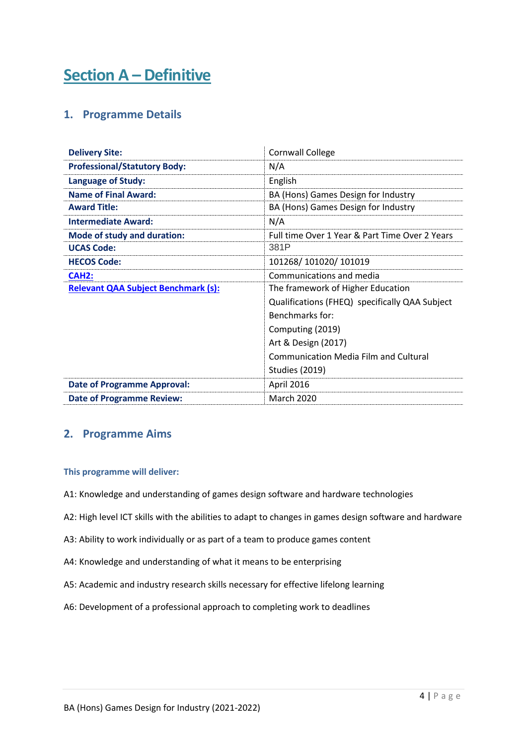# <span id="page-3-1"></span><span id="page-3-0"></span>**Section A – Definitive**

### **1. Programme Details**

| <b>Delivery Site:</b>                      | <b>Cornwall College</b>                        |
|--------------------------------------------|------------------------------------------------|
| <b>Professional/Statutory Body:</b>        | N/A                                            |
| <b>Language of Study:</b>                  | English                                        |
| <b>Name of Final Award:</b>                | BA (Hons) Games Design for Industry            |
| <b>Award Title:</b>                        | BA (Hons) Games Design for Industry            |
| <b>Intermediate Award:</b>                 | N/A                                            |
| Mode of study and duration:                | Full time Over 1 Year & Part Time Over 2 Years |
| <b>UCAS Code:</b>                          | 381P                                           |
| <b>HECOS Code:</b>                         | 101268/101020/101019                           |
| <b>CAH2:</b>                               | Communications and media                       |
| <b>Relevant QAA Subject Benchmark (s):</b> | The framework of Higher Education              |
|                                            | Qualifications (FHEQ) specifically QAA Subject |
|                                            | Benchmarks for:                                |
|                                            | Computing (2019)                               |
|                                            | Art & Design (2017)                            |
|                                            | <b>Communication Media Film and Cultural</b>   |
|                                            | <b>Studies (2019)</b>                          |
| <b>Date of Programme Approval:</b>         | April 2016                                     |
| <b>Date of Programme Review:</b>           | <b>March 2020</b>                              |

### <span id="page-3-2"></span>**2. Programme Aims**

#### **This programme will deliver:**

- A1: Knowledge and understanding of games design software and hardware technologies
- A2: High level ICT skills with the abilities to adapt to changes in games design software and hardware
- A3: Ability to work individually or as part of a team to produce games content
- A4: Knowledge and understanding of what it means to be enterprising
- A5: Academic and industry research skills necessary for effective lifelong learning
- A6: Development of a professional approach to completing work to deadlines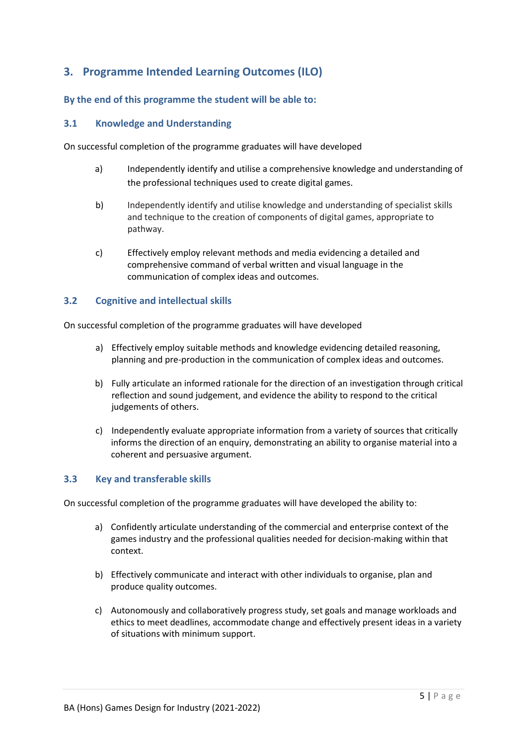## <span id="page-4-0"></span>**3. Programme Intended Learning Outcomes (ILO)**

#### **By the end of this programme the student will be able to:**

#### **3.1 Knowledge and Understanding**

On successful completion of the programme graduates will have developed

- a) Independently identify and utilise a comprehensive knowledge and understanding of the professional techniques used to create digital games.
- b) Independently identify and utilise knowledge and understanding of specialist skills and technique to the creation of components of digital games, appropriate to pathway.
- c) Effectively employ relevant methods and media evidencing a detailed and comprehensive command of verbal written and visual language in the communication of complex ideas and outcomes.

#### **3.2 Cognitive and intellectual skills**

On successful completion of the programme graduates will have developed

- a) Effectively employ suitable methods and knowledge evidencing detailed reasoning, planning and pre-production in the communication of complex ideas and outcomes.
- b) Fully articulate an informed rationale for the direction of an investigation through critical reflection and sound judgement, and evidence the ability to respond to the critical judgements of others.
- c) Independently evaluate appropriate information from a variety of sources that critically informs the direction of an enquiry, demonstrating an ability to organise material into a coherent and persuasive argument.

#### **3.3 Key and transferable skills**

On successful completion of the programme graduates will have developed the ability to:

- a) Confidently articulate understanding of the commercial and enterprise context of the games industry and the professional qualities needed for decision-making within that context.
- b) Effectively communicate and interact with other individuals to organise, plan and produce quality outcomes.
- c) Autonomously and collaboratively progress study, set goals and manage workloads and ethics to meet deadlines, accommodate change and effectively present ideas in a variety of situations with minimum support.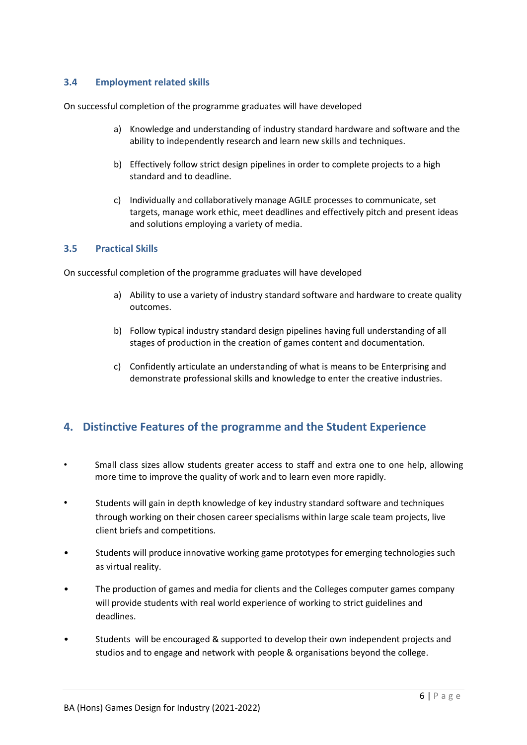#### **3.4 Employment related skills**

On successful completion of the programme graduates will have developed

- a) Knowledge and understanding of industry standard hardware and software and the ability to independently research and learn new skills and techniques.
- b) Effectively follow strict design pipelines in order to complete projects to a high standard and to deadline.
- c) Individually and collaboratively manage AGILE processes to communicate, set targets, manage work ethic, meet deadlines and effectively pitch and present ideas and solutions employing a variety of media.

#### **3.5 Practical Skills**

On successful completion of the programme graduates will have developed

- a) Ability to use a variety of industry standard software and hardware to create quality outcomes.
- b) Follow typical industry standard design pipelines having full understanding of all stages of production in the creation of games content and documentation.
- c) Confidently articulate an understanding of what is means to be Enterprising and demonstrate professional skills and knowledge to enter the creative industries.

### <span id="page-5-0"></span>**4. Distinctive Features of the programme and the Student Experience**

- <span id="page-5-1"></span>• Small class sizes allow students greater access to staff and extra one to one help, allowing more time to improve the quality of work and to learn even more rapidly.
- Students will gain in depth knowledge of key industry standard software and techniques through working on their chosen career specialisms within large scale team projects, live client briefs and competitions.
- Students will produce innovative working game prototypes for emerging technologies such as virtual reality.
- The production of games and media for clients and the Colleges computer games company will provide students with real world experience of working to strict guidelines and deadlines.
- Students will be encouraged & supported to develop their own independent projects and studios and to engage and network with people & organisations beyond the college.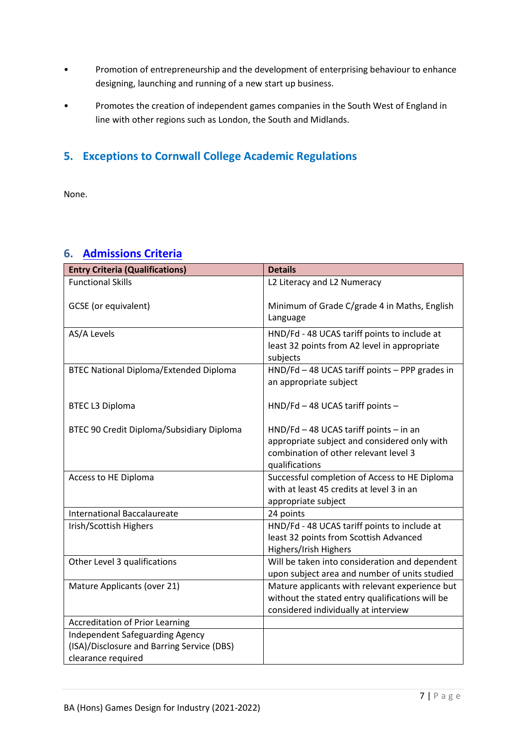- Promotion of entrepreneurship and the development of enterprising behaviour to enhance designing, launching and running of a new start up business.
- Promotes the creation of independent games companies in the South West of England in line with other regions such as London, the South and Midlands.

## **5. Exceptions to Cornwall College Academic Regulations**

None.

### <span id="page-6-0"></span>**6. [Admissions Criteria](https://www.qaa.ac.uk/en/quality-code/advice-and-guidance/admissions-recruitment-and-widening-access)**

| <b>Entry Criteria (Qualifications)</b>                                                                     | <b>Details</b>                                                                                                                                        |
|------------------------------------------------------------------------------------------------------------|-------------------------------------------------------------------------------------------------------------------------------------------------------|
| <b>Functional Skills</b>                                                                                   | L2 Literacy and L2 Numeracy                                                                                                                           |
| <b>GCSE</b> (or equivalent)                                                                                | Minimum of Grade C/grade 4 in Maths, English<br>Language                                                                                              |
| AS/A Levels                                                                                                | HND/Fd - 48 UCAS tariff points to include at<br>least 32 points from A2 level in appropriate<br>subjects                                              |
| <b>BTEC National Diploma/Extended Diploma</b>                                                              | HND/Fd - 48 UCAS tariff points - PPP grades in<br>an appropriate subject                                                                              |
| <b>BTEC L3 Diploma</b>                                                                                     | HND/Fd - 48 UCAS tariff points -                                                                                                                      |
| BTEC 90 Credit Diploma/Subsidiary Diploma                                                                  | $HND/Fd - 48 UCAS$ tariff points $-$ in an<br>appropriate subject and considered only with<br>combination of other relevant level 3<br>qualifications |
| Access to HE Diploma                                                                                       | Successful completion of Access to HE Diploma<br>with at least 45 credits at level 3 in an<br>appropriate subject                                     |
| <b>International Baccalaureate</b>                                                                         | 24 points                                                                                                                                             |
| Irish/Scottish Highers                                                                                     | HND/Fd - 48 UCAS tariff points to include at<br>least 32 points from Scottish Advanced<br>Highers/Irish Highers                                       |
| Other Level 3 qualifications                                                                               | Will be taken into consideration and dependent<br>upon subject area and number of units studied                                                       |
| Mature Applicants (over 21)                                                                                | Mature applicants with relevant experience but<br>without the stated entry qualifications will be<br>considered individually at interview             |
| <b>Accreditation of Prior Learning</b>                                                                     |                                                                                                                                                       |
| <b>Independent Safeguarding Agency</b><br>(ISA)/Disclosure and Barring Service (DBS)<br>clearance required |                                                                                                                                                       |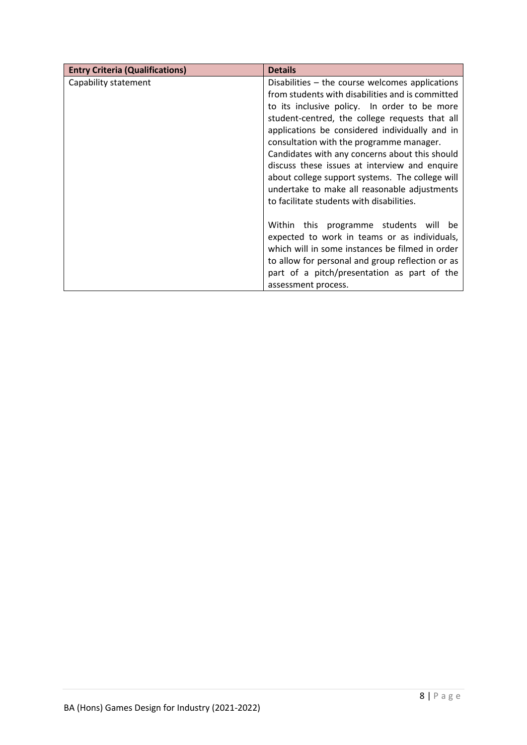| <b>Entry Criteria (Qualifications)</b> | <b>Details</b>                                                                                                                                                                                                                                                                                                                                                                                                                                                                                                                                         |
|----------------------------------------|--------------------------------------------------------------------------------------------------------------------------------------------------------------------------------------------------------------------------------------------------------------------------------------------------------------------------------------------------------------------------------------------------------------------------------------------------------------------------------------------------------------------------------------------------------|
| Capability statement                   | Disabilities - the course welcomes applications<br>from students with disabilities and is committed<br>to its inclusive policy. In order to be more<br>student-centred, the college requests that all<br>applications be considered individually and in<br>consultation with the programme manager.<br>Candidates with any concerns about this should<br>discuss these issues at interview and enquire<br>about college support systems. The college will<br>undertake to make all reasonable adjustments<br>to facilitate students with disabilities. |
|                                        | Within this programme students will be<br>expected to work in teams or as individuals,<br>which will in some instances be filmed in order<br>to allow for personal and group reflection or as<br>part of a pitch/presentation as part of the<br>assessment process.                                                                                                                                                                                                                                                                                    |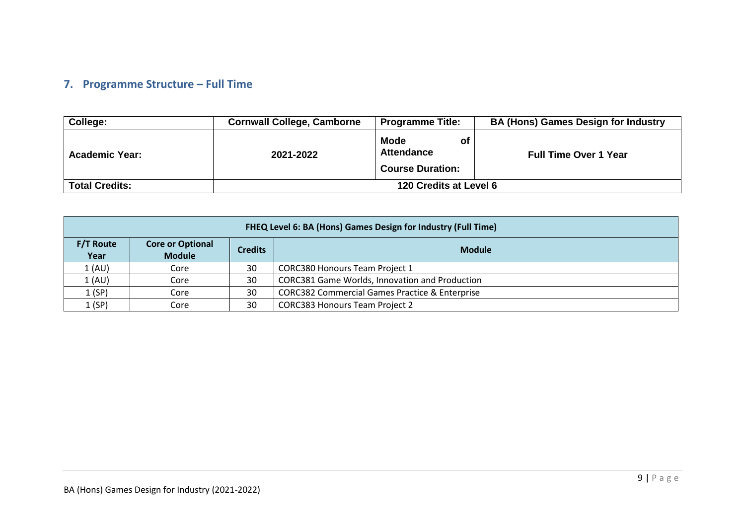## **7. Programme Structure – Full Time**

| College:              | <b>Cornwall College, Camborne</b> | <b>Programme Title:</b>                                           | <b>BA (Hons) Games Design for Industry</b> |
|-----------------------|-----------------------------------|-------------------------------------------------------------------|--------------------------------------------|
| <b>Academic Year:</b> | 2021-2022                         | <b>Mode</b><br>οt<br><b>Attendance</b><br><b>Course Duration:</b> | <b>Full Time Over 1 Year</b>               |
| <b>Total Credits:</b> | 120 Credits at Level 6            |                                                                   |                                            |

<span id="page-8-0"></span>

|                          | FHEQ Level 6: BA (Hons) Games Design for Industry (Full Time) |                |                                                           |  |  |  |  |  |  |
|--------------------------|---------------------------------------------------------------|----------------|-----------------------------------------------------------|--|--|--|--|--|--|
| <b>F/T Route</b><br>Year | <b>Core or Optional</b><br><b>Module</b>                      | <b>Credits</b> | <b>Module</b>                                             |  |  |  |  |  |  |
| 1 (AU)                   | Core                                                          | 30             | CORC380 Honours Team Project 1                            |  |  |  |  |  |  |
| 1 (AU)                   | Core                                                          | 30             | CORC381 Game Worlds, Innovation and Production            |  |  |  |  |  |  |
| 1(SP)                    | Core                                                          | 30             | <b>CORC382 Commercial Games Practice &amp; Enterprise</b> |  |  |  |  |  |  |
| 1 (SP)                   | Core                                                          | 30             | <b>CORC383 Honours Team Project 2</b>                     |  |  |  |  |  |  |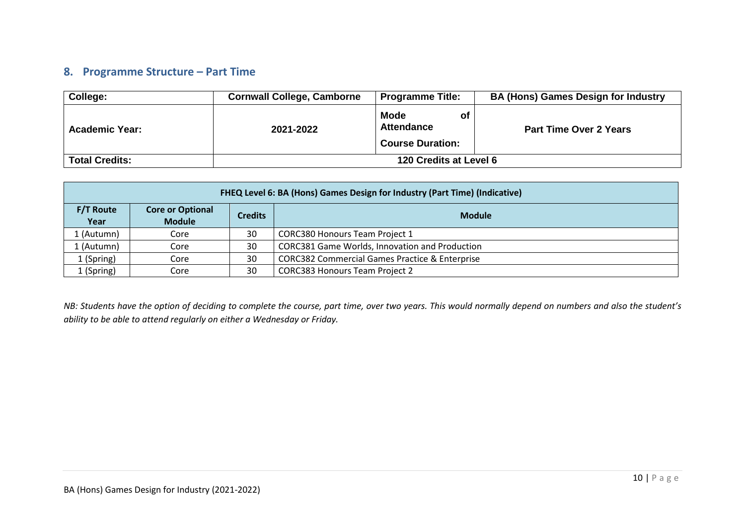### **8. Programme Structure – Part Time**

| College:              | <b>Cornwall College, Camborne</b> | <b>Programme Title:</b>                                            | <b>BA (Hons) Games Design for Industry</b> |
|-----------------------|-----------------------------------|--------------------------------------------------------------------|--------------------------------------------|
| <b>Academic Year:</b> | 2021-2022                         | <b>Mode</b><br>ot.<br><b>Attendance</b><br><b>Course Duration:</b> | <b>Part Time Over 2 Years</b>              |
| <b>Total Credits:</b> |                                   | 120 Credits at Level 6                                             |                                            |

|                                                                                                         | FHEQ Level 6: BA (Hons) Games Design for Industry (Part Time) (Indicative) |    |                                                           |  |  |  |  |  |  |
|---------------------------------------------------------------------------------------------------------|----------------------------------------------------------------------------|----|-----------------------------------------------------------|--|--|--|--|--|--|
| <b>F/T Route</b><br><b>Core or Optional</b><br><b>Credits</b><br><b>Module</b><br><b>Module</b><br>Year |                                                                            |    |                                                           |  |  |  |  |  |  |
| L (Autumn)                                                                                              | Core                                                                       | 30 | <b>CORC380 Honours Team Project 1</b>                     |  |  |  |  |  |  |
| L (Autumn)                                                                                              | Core                                                                       | 30 | CORC381 Game Worlds, Innovation and Production            |  |  |  |  |  |  |
| 1 (Spring)                                                                                              | Core                                                                       | 30 | <b>CORC382 Commercial Games Practice &amp; Enterprise</b> |  |  |  |  |  |  |
| 1 (Spring)                                                                                              | Core                                                                       | 30 | <b>CORC383 Honours Team Project 2</b>                     |  |  |  |  |  |  |

<span id="page-9-0"></span>*NB: Students have the option of deciding to complete the course, part time, over two years. This would normally depend on numbers and also the student's ability to be able to attend regularly on either a Wednesday or Friday.*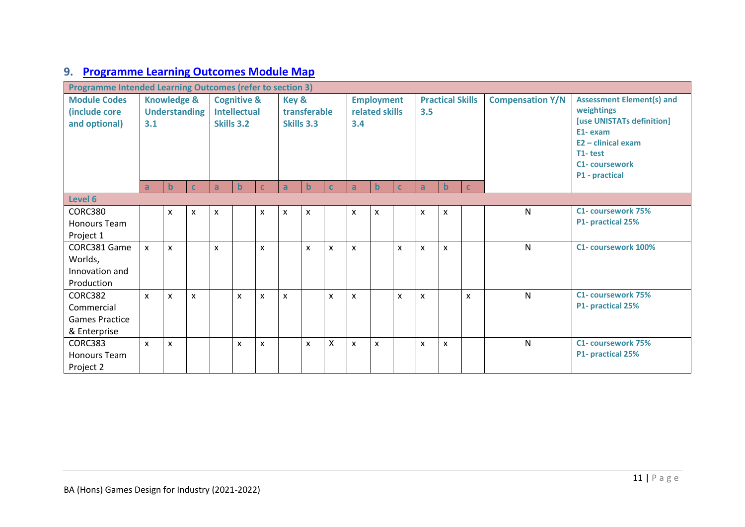# **9. [Programme Learning Outcomes Module Map](https://www.qaa.ac.uk/en/quality-code/advice-and-guidance/course-design-and-development)**

<span id="page-10-0"></span>

| <b>Programme Intended Learning Outcomes (refer to section 3)</b> |              |                      |                        |                |                     |                           |                           |   |                   |                           |                           |              |                           |                         |                                  |                           |                           |  |  |  |  |  |  |  |  |  |  |  |  |  |  |  |  |  |  |  |  |  |  |  |  |  |  |  |  |  |  |  |                      |
|------------------------------------------------------------------|--------------|----------------------|------------------------|----------------|---------------------|---------------------------|---------------------------|---|-------------------|---------------------------|---------------------------|--------------|---------------------------|-------------------------|----------------------------------|---------------------------|---------------------------|--|--|--|--|--|--|--|--|--|--|--|--|--|--|--|--|--|--|--|--|--|--|--|--|--|--|--|--|--|--|--|----------------------|
| <b>Module Codes</b><br><b>Knowledge &amp;</b>                    |              |                      | <b>Cognitive &amp;</b> |                | Key &               |                           |                           |   | <b>Employment</b> |                           | <b>Practical Skills</b>   |              |                           | <b>Compensation Y/N</b> | <b>Assessment Element(s) and</b> |                           |                           |  |  |  |  |  |  |  |  |  |  |  |  |  |  |  |  |  |  |  |  |  |  |  |  |  |  |  |  |  |  |  |                      |
| (include core                                                    |              | <b>Understanding</b> |                        |                | <b>Intellectual</b> |                           | transferable              |   |                   | related skills            |                           | 3.5          |                           |                         |                                  | weightings                |                           |  |  |  |  |  |  |  |  |  |  |  |  |  |  |  |  |  |  |  |  |  |  |  |  |  |  |  |  |  |  |  |                      |
| and optional)                                                    | 3.1          |                      |                        |                | Skills 3.2          |                           | Skills 3.3                |   | 3.4               |                           |                           |              |                           |                         |                                  | [use UNISTATs definition] |                           |  |  |  |  |  |  |  |  |  |  |  |  |  |  |  |  |  |  |  |  |  |  |  |  |  |  |  |  |  |  |  |                      |
|                                                                  |              |                      |                        |                |                     |                           |                           |   |                   |                           |                           |              |                           |                         |                                  |                           | E1-exam                   |  |  |  |  |  |  |  |  |  |  |  |  |  |  |  |  |  |  |  |  |  |  |  |  |  |  |  |  |  |  |  |                      |
|                                                                  |              |                      |                        |                |                     |                           |                           |   |                   |                           |                           |              |                           |                         |                                  |                           | $E2 -$ clinical exam      |  |  |  |  |  |  |  |  |  |  |  |  |  |  |  |  |  |  |  |  |  |  |  |  |  |  |  |  |  |  |  |                      |
|                                                                  |              |                      |                        |                |                     |                           |                           |   |                   |                           |                           |              |                           |                         |                                  | T1-test                   |                           |  |  |  |  |  |  |  |  |  |  |  |  |  |  |  |  |  |  |  |  |  |  |  |  |  |  |  |  |  |  |  |                      |
|                                                                  |              |                      |                        |                |                     |                           |                           |   |                   |                           |                           |              |                           |                         |                                  |                           |                           |  |  |  |  |  |  |  |  |  |  |  |  |  |  |  |  |  |  |  |  |  |  |  |  |  |  |  |  |  |  |  | <b>C1-coursework</b> |
|                                                                  |              |                      |                        |                |                     |                           |                           |   |                   |                           |                           |              |                           |                         |                                  |                           | P1 - practical            |  |  |  |  |  |  |  |  |  |  |  |  |  |  |  |  |  |  |  |  |  |  |  |  |  |  |  |  |  |  |  |                      |
|                                                                  | $\mathsf{a}$ | b                    | <b>C</b>               | $\overline{a}$ | $\mathbf b$         | C                         | $\mathbf{a}$              | b | $\mathbf{C}$      | a                         | $\mathbf b$               | $\mathbf{C}$ | a                         | $\mathbf b$             | $\mathbf{C}$                     |                           |                           |  |  |  |  |  |  |  |  |  |  |  |  |  |  |  |  |  |  |  |  |  |  |  |  |  |  |  |  |  |  |  |                      |
| Level 6                                                          |              |                      |                        |                |                     |                           |                           |   |                   |                           |                           |              |                           |                         |                                  |                           |                           |  |  |  |  |  |  |  |  |  |  |  |  |  |  |  |  |  |  |  |  |  |  |  |  |  |  |  |  |  |  |  |                      |
| CORC380                                                          |              | X                    | X                      | X              |                     | X                         | $\mathsf{x}$              | x |                   | X                         | X                         |              | X                         | X                       |                                  | N                         | C1- coursework 75%        |  |  |  |  |  |  |  |  |  |  |  |  |  |  |  |  |  |  |  |  |  |  |  |  |  |  |  |  |  |  |  |                      |
| <b>Honours Team</b>                                              |              |                      |                        |                |                     |                           |                           |   |                   |                           |                           |              |                           |                         |                                  |                           | P1- practical 25%         |  |  |  |  |  |  |  |  |  |  |  |  |  |  |  |  |  |  |  |  |  |  |  |  |  |  |  |  |  |  |  |                      |
| Project 1                                                        |              |                      |                        |                |                     |                           |                           |   |                   |                           |                           |              |                           |                         |                                  |                           |                           |  |  |  |  |  |  |  |  |  |  |  |  |  |  |  |  |  |  |  |  |  |  |  |  |  |  |  |  |  |  |  |                      |
| CORC381 Game                                                     | <b>X</b>     | $\mathsf{x}$         |                        | $\mathsf{x}$   |                     | X                         |                           | X | $\mathsf{x}$      | $\boldsymbol{\mathsf{x}}$ |                           | X            | $\mathsf{x}$              | X                       |                                  | N                         | C1- coursework 100%       |  |  |  |  |  |  |  |  |  |  |  |  |  |  |  |  |  |  |  |  |  |  |  |  |  |  |  |  |  |  |  |                      |
| Worlds,                                                          |              |                      |                        |                |                     |                           |                           |   |                   |                           |                           |              |                           |                         |                                  |                           |                           |  |  |  |  |  |  |  |  |  |  |  |  |  |  |  |  |  |  |  |  |  |  |  |  |  |  |  |  |  |  |  |                      |
| Innovation and                                                   |              |                      |                        |                |                     |                           |                           |   |                   |                           |                           |              |                           |                         |                                  |                           |                           |  |  |  |  |  |  |  |  |  |  |  |  |  |  |  |  |  |  |  |  |  |  |  |  |  |  |  |  |  |  |  |                      |
| Production                                                       |              |                      |                        |                |                     |                           |                           |   |                   |                           |                           |              |                           |                         |                                  |                           |                           |  |  |  |  |  |  |  |  |  |  |  |  |  |  |  |  |  |  |  |  |  |  |  |  |  |  |  |  |  |  |  |                      |
| <b>CORC382</b>                                                   | $\mathsf{x}$ | $\mathsf{x}$         | $\mathsf{x}$           |                | $\mathsf{x}$        | $\boldsymbol{\mathsf{x}}$ | $\boldsymbol{\mathsf{x}}$ |   | $\mathsf{x}$      | X                         |                           | X            | X                         |                         | $\mathsf{x}$                     | N                         | <b>C1- coursework 75%</b> |  |  |  |  |  |  |  |  |  |  |  |  |  |  |  |  |  |  |  |  |  |  |  |  |  |  |  |  |  |  |  |                      |
| Commercial                                                       |              |                      |                        |                |                     |                           |                           |   |                   |                           |                           |              |                           |                         |                                  |                           | P1- practical 25%         |  |  |  |  |  |  |  |  |  |  |  |  |  |  |  |  |  |  |  |  |  |  |  |  |  |  |  |  |  |  |  |                      |
| <b>Games Practice</b>                                            |              |                      |                        |                |                     |                           |                           |   |                   |                           |                           |              |                           |                         |                                  |                           |                           |  |  |  |  |  |  |  |  |  |  |  |  |  |  |  |  |  |  |  |  |  |  |  |  |  |  |  |  |  |  |  |                      |
| & Enterprise                                                     |              |                      |                        |                |                     |                           |                           |   |                   |                           |                           |              |                           |                         |                                  |                           |                           |  |  |  |  |  |  |  |  |  |  |  |  |  |  |  |  |  |  |  |  |  |  |  |  |  |  |  |  |  |  |  |                      |
| CORC383                                                          | X            | X                    |                        |                | X                   | $\boldsymbol{\mathsf{x}}$ |                           | X | X                 | X                         | $\boldsymbol{\mathsf{x}}$ |              | $\boldsymbol{\mathsf{x}}$ | X                       |                                  | N                         | <b>C1- coursework 75%</b> |  |  |  |  |  |  |  |  |  |  |  |  |  |  |  |  |  |  |  |  |  |  |  |  |  |  |  |  |  |  |  |                      |
| Honours Team                                                     |              |                      |                        |                |                     |                           |                           |   |                   |                           |                           |              |                           |                         |                                  |                           | P1- practical 25%         |  |  |  |  |  |  |  |  |  |  |  |  |  |  |  |  |  |  |  |  |  |  |  |  |  |  |  |  |  |  |  |                      |
| Project 2                                                        |              |                      |                        |                |                     |                           |                           |   |                   |                           |                           |              |                           |                         |                                  |                           |                           |  |  |  |  |  |  |  |  |  |  |  |  |  |  |  |  |  |  |  |  |  |  |  |  |  |  |  |  |  |  |  |                      |
|                                                                  |              |                      |                        |                |                     |                           |                           |   |                   |                           |                           |              |                           |                         |                                  |                           |                           |  |  |  |  |  |  |  |  |  |  |  |  |  |  |  |  |  |  |  |  |  |  |  |  |  |  |  |  |  |  |  |                      |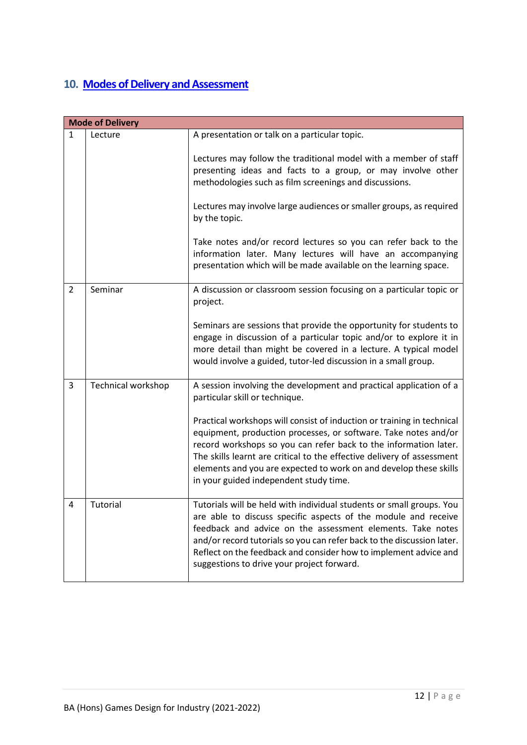## <span id="page-11-0"></span>**10. [Modes of Delivery and Assessment](https://www.qaa.ac.uk/en/quality-code/advice-and-guidance/assessment)**

|                | <b>Mode of Delivery</b> |                                                                                                                                                                                                                                                                                                                                                                                                        |
|----------------|-------------------------|--------------------------------------------------------------------------------------------------------------------------------------------------------------------------------------------------------------------------------------------------------------------------------------------------------------------------------------------------------------------------------------------------------|
| $\mathbf{1}$   | Lecture                 | A presentation or talk on a particular topic.                                                                                                                                                                                                                                                                                                                                                          |
|                |                         | Lectures may follow the traditional model with a member of staff<br>presenting ideas and facts to a group, or may involve other<br>methodologies such as film screenings and discussions.                                                                                                                                                                                                              |
|                |                         | Lectures may involve large audiences or smaller groups, as required<br>by the topic.                                                                                                                                                                                                                                                                                                                   |
|                |                         | Take notes and/or record lectures so you can refer back to the<br>information later. Many lectures will have an accompanying<br>presentation which will be made available on the learning space.                                                                                                                                                                                                       |
| $\overline{2}$ | Seminar                 | A discussion or classroom session focusing on a particular topic or<br>project.                                                                                                                                                                                                                                                                                                                        |
|                |                         | Seminars are sessions that provide the opportunity for students to<br>engage in discussion of a particular topic and/or to explore it in<br>more detail than might be covered in a lecture. A typical model<br>would involve a guided, tutor-led discussion in a small group.                                                                                                                          |
| 3              | Technical workshop      | A session involving the development and practical application of a<br>particular skill or technique.                                                                                                                                                                                                                                                                                                   |
|                |                         | Practical workshops will consist of induction or training in technical<br>equipment, production processes, or software. Take notes and/or<br>record workshops so you can refer back to the information later.<br>The skills learnt are critical to the effective delivery of assessment<br>elements and you are expected to work on and develop these skills<br>in your guided independent study time. |
| 4              | Tutorial                | Tutorials will be held with individual students or small groups. You<br>are able to discuss specific aspects of the module and receive<br>feedback and advice on the assessment elements. Take notes<br>and/or record tutorials so you can refer back to the discussion later.<br>Reflect on the feedback and consider how to implement advice and<br>suggestions to drive your project forward.       |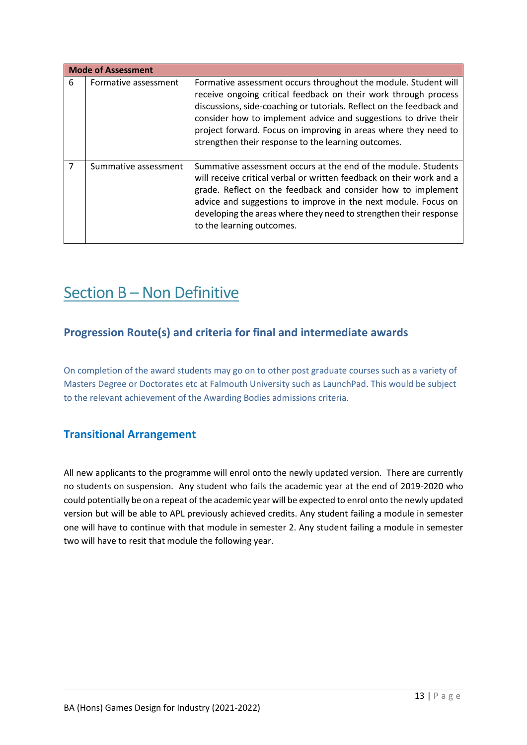|   | <b>Mode of Assessment</b> |                                                                                                                                                                                                                                                                                                                                                                                                         |
|---|---------------------------|---------------------------------------------------------------------------------------------------------------------------------------------------------------------------------------------------------------------------------------------------------------------------------------------------------------------------------------------------------------------------------------------------------|
| 6 | Formative assessment      | Formative assessment occurs throughout the module. Student will<br>receive ongoing critical feedback on their work through process<br>discussions, side-coaching or tutorials. Reflect on the feedback and<br>consider how to implement advice and suggestions to drive their<br>project forward. Focus on improving in areas where they need to<br>strengthen their response to the learning outcomes. |
| 7 | Summative assessment      | Summative assessment occurs at the end of the module. Students<br>will receive critical verbal or written feedback on their work and a<br>grade. Reflect on the feedback and consider how to implement<br>advice and suggestions to improve in the next module. Focus on<br>developing the areas where they need to strengthen their response<br>to the learning outcomes.                              |

# <span id="page-12-1"></span><span id="page-12-0"></span>Section B - Non Definitive

## **Progression Route(s) and criteria for final and intermediate awards**

On completion of the award students may go on to other post graduate courses such as a variety of Masters Degree or Doctorates etc at Falmouth University such as LaunchPad. This would be subject to the relevant achievement of the Awarding Bodies admissions criteria.

## <span id="page-12-2"></span>**Transitional Arrangement**

All new applicants to the programme will enrol onto the newly updated version. There are currently no students on suspension. Any student who fails the academic year at the end of 2019-2020 who could potentially be on a repeat of the academic year will be expected to enrol onto the newly updated version but will be able to APL previously achieved credits. Any student failing a module in semester one will have to continue with that module in semester 2. Any student failing a module in semester two will have to resit that module the following year.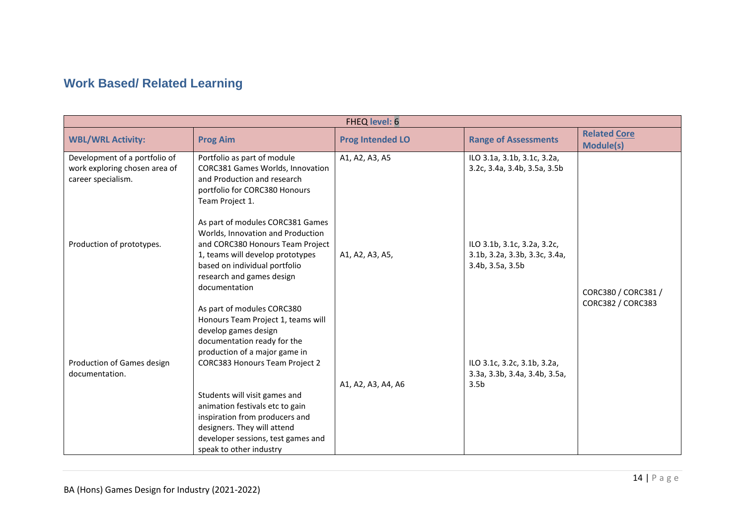# **Work Based/ Related Learning**

<span id="page-13-0"></span>

| <b>FHEQ level: 6</b>                                                                 |                                                                                                                                                                                                                              |                         |                                                                                  |                                         |  |  |  |  |  |
|--------------------------------------------------------------------------------------|------------------------------------------------------------------------------------------------------------------------------------------------------------------------------------------------------------------------------|-------------------------|----------------------------------------------------------------------------------|-----------------------------------------|--|--|--|--|--|
| <b>WBL/WRL Activity:</b>                                                             | <b>Prog Aim</b>                                                                                                                                                                                                              | <b>Prog Intended LO</b> | <b>Range of Assessments</b>                                                      | <b>Related Core</b><br><b>Module(s)</b> |  |  |  |  |  |
| Development of a portfolio of<br>work exploring chosen area of<br>career specialism. | Portfolio as part of module<br>CORC381 Games Worlds, Innovation<br>and Production and research<br>portfolio for CORC380 Honours<br>Team Project 1.                                                                           | A1, A2, A3, A5          | ILO 3.1a, 3.1b, 3.1c, 3.2a,<br>3.2c, 3.4a, 3.4b, 3.5a, 3.5b                      |                                         |  |  |  |  |  |
| Production of prototypes.                                                            | As part of modules CORC381 Games<br>Worlds, Innovation and Production<br>and CORC380 Honours Team Project<br>1, teams will develop prototypes<br>based on individual portfolio<br>research and games design<br>documentation | A1, A2, A3, A5,         | ILO 3.1b, 3.1c, 3.2a, 3.2c,<br>3.1b, 3.2a, 3.3b, 3.3c, 3.4a,<br>3.4b, 3.5a, 3.5b | CORC380 / CORC381 /                     |  |  |  |  |  |
| Production of Games design<br>documentation.                                         | As part of modules CORC380<br>Honours Team Project 1, teams will<br>develop games design<br>documentation ready for the<br>production of a major game in<br>CORC383 Honours Team Project 2<br>Students will visit games and  | A1, A2, A3, A4, A6      | ILO 3.1c, 3.2c, 3.1b, 3.2a,<br>3.3a, 3.3b, 3.4a, 3.4b, 3.5a,<br>3.5 <sub>b</sub> | CORC382 / CORC383                       |  |  |  |  |  |
|                                                                                      | animation festivals etc to gain<br>inspiration from producers and<br>designers. They will attend<br>developer sessions, test games and<br>speak to other industry                                                            |                         |                                                                                  |                                         |  |  |  |  |  |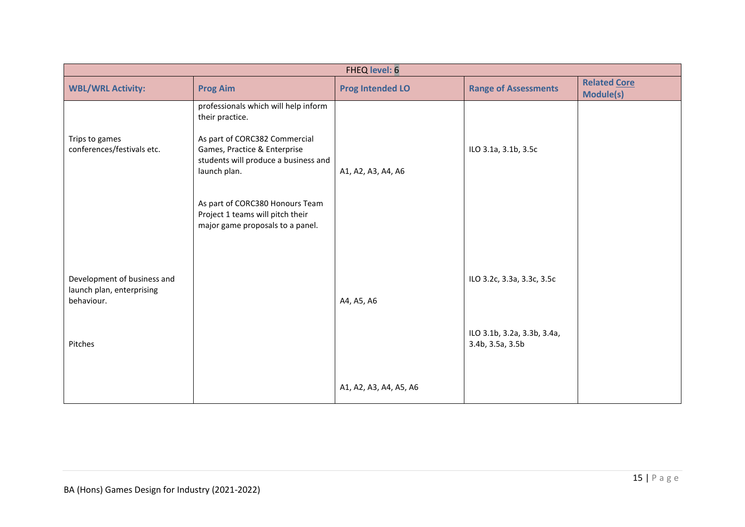| FHEQ level: 6                                                                     |                                                                                                                                                                                                                                                                                             |                         |                                                                               |                                         |
|-----------------------------------------------------------------------------------|---------------------------------------------------------------------------------------------------------------------------------------------------------------------------------------------------------------------------------------------------------------------------------------------|-------------------------|-------------------------------------------------------------------------------|-----------------------------------------|
| <b>WBL/WRL Activity:</b>                                                          | <b>Prog Aim</b>                                                                                                                                                                                                                                                                             | <b>Prog Intended LO</b> | <b>Range of Assessments</b>                                                   | <b>Related Core</b><br><b>Module(s)</b> |
| Trips to games<br>conferences/festivals etc.                                      | professionals which will help inform<br>their practice.<br>As part of CORC382 Commercial<br>Games, Practice & Enterprise<br>students will produce a business and<br>launch plan.<br>As part of CORC380 Honours Team<br>Project 1 teams will pitch their<br>major game proposals to a panel. | A1, A2, A3, A4, A6      | ILO 3.1a, 3.1b, 3.5c                                                          |                                         |
| Development of business and<br>launch plan, enterprising<br>behaviour.<br>Pitches |                                                                                                                                                                                                                                                                                             | A4, A5, A6              | ILO 3.2c, 3.3a, 3.3c, 3.5c<br>ILO 3.1b, 3.2a, 3.3b, 3.4a,<br>3.4b, 3.5a, 3.5b |                                         |
|                                                                                   |                                                                                                                                                                                                                                                                                             | A1, A2, A3, A4, A5, A6  |                                                                               |                                         |